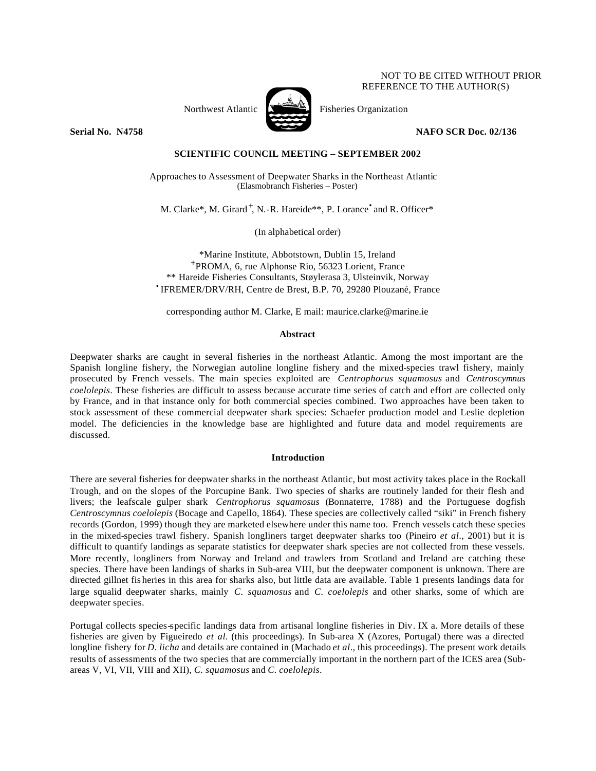## NOT TO BE CITED WITHOUT PRIOR REFERENCE TO THE AUTHOR(S)



Northwest Atlantic  $\sum_{n=1}^{\infty}$  Fisheries Organization

**Serial No. N4758 NAFO SCR Doc. 02/136**

# **SCIENTIFIC COUNCIL MEETING – SEPTEMBER 2002**

Approaches to Assessment of Deepwater Sharks in the Northeast Atlantic (Elasmobranch Fisheries – Poster)

M. Clarke\*, M. Girard<sup>+</sup>, N.-R. Hareide\*\*, P. Lorance<sup>•</sup> and R. Officer\*

(In alphabetical order)

\*Marine Institute, Abbotstown, Dublin 15, Ireland + PROMA, 6, rue Alphonse Rio, 56323 Lorient, France \*\* Hareide Fisheries Consultants, Støylerasa 3, Ulsteinvik, Norway • IFREMER/DRV/RH, Centre de Brest, B.P. 70, 29280 Plouzané, France

corresponding author M. Clarke, E mail: maurice.clarke@marine.ie

# **Abstract**

Deepwater sharks are caught in several fisheries in the northeast Atlantic. Among the most important are the Spanish longline fishery, the Norwegian autoline longline fishery and the mixed-species trawl fishery, mainly prosecuted by French vessels. The main species exploited are *Centrophorus squamosus* and *Centroscymnus coelolepis*. These fisheries are difficult to assess because accurate time series of catch and effort are collected only by France, and in that instance only for both commercial species combined. Two approaches have been taken to stock assessment of these commercial deepwater shark species: Schaefer production model and Leslie depletion model. The deficiencies in the knowledge base are highlighted and future data and model requirements are discussed.

# **Introduction**

There are several fisheries for deepwater sharks in the northeast Atlantic, but most activity takes place in the Rockall Trough, and on the slopes of the Porcupine Bank. Two species of sharks are routinely landed for their flesh and livers; the leafscale gulper shark *Centrophorus squamosus* (Bonnaterre, 1788) and the Portuguese dogfish *Centroscymnus coelolepis* (Bocage and Capello, 1864). These species are collectively called "siki" in French fishery records (Gordon, 1999) though they are marketed elsewhere under this name too. French vessels catch these species in the mixed-species trawl fishery. Spanish longliners target deepwater sharks too (Pineiro *et al*., 2001) but it is difficult to quantify landings as separate statistics for deepwater shark species are not collected from these vessels. More recently, longliners from Norway and Ireland and trawlers from Scotland and Ireland are catching these species. There have been landings of sharks in Sub-area VIII, but the deepwater component is unknown. There are directed gillnet fis heries in this area for sharks also, but little data are available. Table 1 presents landings data for large squalid deepwater sharks, mainly *C. squamosus* and *C. coelolepis* and other sharks, some of which are deepwater species.

Portugal collects species-specific landings data from artisanal longline fisheries in Div. IX a. More details of these fisheries are given by Figueiredo *et al.* (this proceedings). In Sub-area X (Azores, Portugal) there was a directed longline fishery for *D. licha* and details are contained in (Machado *et al*., this proceedings). The present work details results of assessments of the two species that are commercially important in the northern part of the ICES area (Subareas V, VI, VII, VIII and XII), *C. squamosus* and *C. coelolepis*.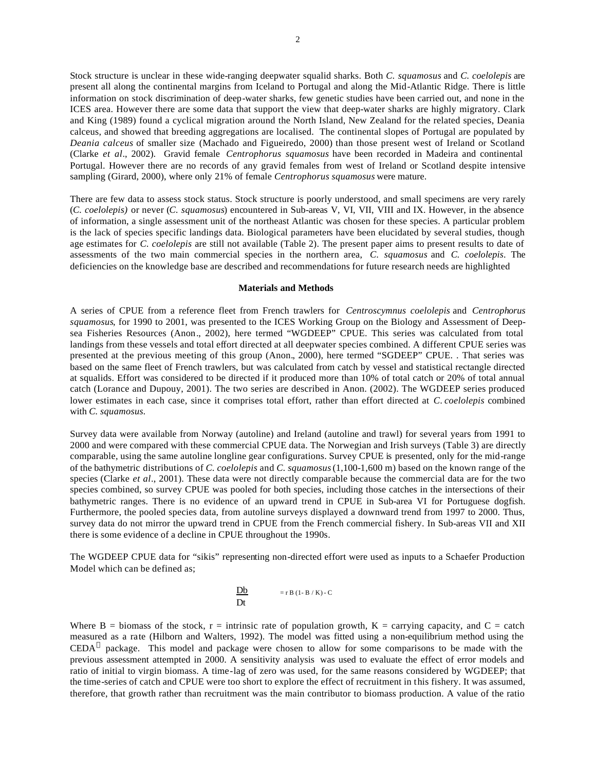Stock structure is unclear in these wide-ranging deepwater squalid sharks. Both *C. squamosus* and *C. coelolepis* are present all along the continental margins from Iceland to Portugal and along the Mid-Atlantic Ridge. There is little information on stock discrimination of deep-water sharks, few genetic studies have been carried out, and none in the ICES area. However there are some data that support the view that deep-water sharks are highly migratory. Clark and King (1989) found a cyclical migration around the North Island, New Zealand for the related species, Deania calceus, and showed that breeding aggregations are localised. The continental slopes of Portugal are populated by *Deania calceus* of smaller size (Machado and Figueiredo, 2000) than those present west of Ireland or Scotland (Clarke *et al*., 2002). Gravid female *Centrophorus squamosus* have been recorded in Madeira and continental Portugal. However there are no records of any gravid females from west of Ireland or Scotland despite intensive sampling (Girard, 2000), where only 21% of female *Centrophorus squamosus* were mature.

There are few data to assess stock status. Stock structure is poorly understood, and small specimens are very rarely (*C. coelolepis)* or never (*C. squamosus*) encountered in Sub-areas V, VI, VII, VIII and IX. However, in the absence of information, a single assessment unit of the northeast Atlantic was chosen for these species. A particular problem is the lack of species specific landings data. Biological parameters have been elucidated by several studies, though age estimates for *C. coelolepis* are still not available (Table 2). The present paper aims to present results to date of assessments of the two main commercial species in the northern area, *C. squamosus* and *C. coelolepis*. The deficiencies on the knowledge base are described and recommendations for future research needs are highlighted

## **Materials and Methods**

A series of CPUE from a reference fleet from French trawlers for *Centroscymnus coelolepis* and *Centrophorus squamosus*, for 1990 to 2001, was presented to the ICES Working Group on the Biology and Assessment of Deepsea Fisheries Resources (Anon., 2002), here termed "WGDEEP" CPUE. This series was calculated from total landings from these vessels and total effort directed at all deepwater species combined. A different CPUE series was presented at the previous meeting of this group (Anon., 2000), here termed "SGDEEP" CPUE. . That series was based on the same fleet of French trawlers, but was calculated from catch by vessel and statistical rectangle directed at squalids. Effort was considered to be directed if it produced more than 10% of total catch or 20% of total annual catch (Lorance and Dupouy, 2001). The two series are described in Anon. (2002). The WGDEEP series produced lower estimates in each case, since it comprises total effort, rather than effort directed at *C. coelolepis* combined with *C. squamosus.*

Survey data were available from Norway (autoline) and Ireland (autoline and trawl) for several years from 1991 to 2000 and were compared with these commercial CPUE data. The Norwegian and Irish surveys (Table 3) are directly comparable, using the same autoline longline gear configurations. Survey CPUE is presented, only for the mid-range of the bathymetric distributions of *C. coelolepis* and *C. squamosus* (1,100-1,600 m) based on the known range of the species (Clarke *et al*., 2001). These data were not directly comparable because the commercial data are for the two species combined, so survey CPUE was pooled for both species, including those catches in the intersections of their bathymetric ranges. There is no evidence of an upward trend in CPUE in Sub-area VI for Portuguese dogfish. Furthermore, the pooled species data, from autoline surveys displayed a downward trend from 1997 to 2000. Thus, survey data do not mirror the upward trend in CPUE from the French commercial fishery. In Sub-areas VII and XII there is some evidence of a decline in CPUE throughout the 1990s.

The WGDEEP CPUE data for "sikis" representing non-directed effort were used as inputs to a Schaefer Production Model which can be defined as;

$$
\frac{\text{Db}}{\text{Dt}} = r B (1 - B / K) - C
$$

Where B = biomass of the stock,  $r =$  intrinsic rate of population growth,  $K =$  carrying capacity, and  $C =$  catch measured as a rate (Hilborn and Walters, 1992). The model was fitted using a non-equilibrium method using the  $\mathrm{CEDA}^{\odot}$  package. This model and package were chosen to allow for some comparisons to be made with the previous assessment attempted in 2000. A sensitivity analysis was used to evaluate the effect of error models and ratio of initial to virgin biomass. A time-lag of zero was used, for the same reasons considered by WGDEEP; that the time-series of catch and CPUE were too short to explore the effect of recruitment in this fishery. It was assumed, therefore, that growth rather than recruitment was the main contributor to biomass production. A value of the ratio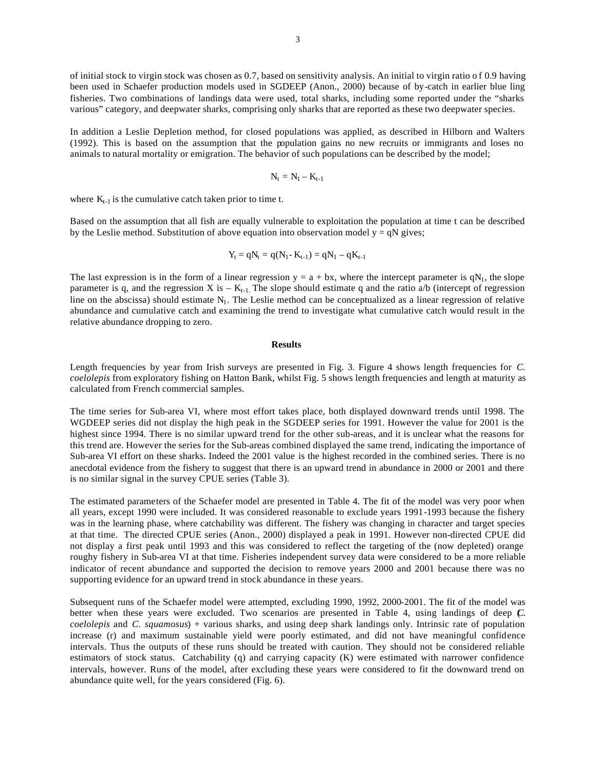of initial stock to virgin stock was chosen as 0.7, based on sensitivity analysis. An initial to virgin ratio o f 0.9 having been used in Schaefer production models used in SGDEEP (Anon., 2000) because of by-catch in earlier blue ling fisheries. Two combinations of landings data were used, total sharks, including some reported under the "sharks various" category, and deepwater sharks, comprising only sharks that are reported as these two deepwater species.

In addition a Leslie Depletion method, for closed populations was applied, as described in Hilborn and Walters (1992). This is based on the assumption that the population gains no new recruits or immigrants and loses no animals to natural mortality or emigration. The behavior of such populations can be described by the model;

$$
N_t=N_l-K_{t\text{-}1}
$$

where  $K_{t-1}$  is the cumulative catch taken prior to time t.

Based on the assumption that all fish are equally vulnerable to exploitation the population at time t can be described by the Leslie method. Substitution of above equation into observation model  $y = qN$  gives;

$$
Y_t = qN_t = q(N_1 - K_{t-1}) = qN_1 - qK_{t-1}
$$

The last expression is in the form of a linear regression  $y = a + bx$ , where the intercept parameter is qN<sub>1</sub>, the slope parameter is q, and the regression X is –  $K_{t-1}$ . The slope should estimate q and the ratio a/b (intercept of regression line on the abscissa) should estimate  $N_1$ . The Leslie method can be conceptualized as a linear regression of relative abundance and cumulative catch and examining the trend to investigate what cumulative catch would result in the relative abundance dropping to zero.

#### **Results**

Length frequencies by year from Irish surveys are presented in Fig. 3. Figure 4 shows length frequencies for *C. coelolepis* from exploratory fishing on Hatton Bank, whilst Fig. 5 shows length frequencies and length at maturity as calculated from French commercial samples.

The time series for Sub-area VI, where most effort takes place, both displayed downward trends until 1998. The WGDEEP series did not display the high peak in the SGDEEP series for 1991. However the value for 2001 is the highest since 1994. There is no similar upward trend for the other sub-areas, and it is unclear what the reasons for this trend are. However the series for the Sub-areas combined displayed the same trend, indicating the importance of Sub-area VI effort on these sharks. Indeed the 2001 value is the highest recorded in the combined series. There is no anecdotal evidence from the fishery to suggest that there is an upward trend in abundance in 2000 or 2001 and there is no similar signal in the survey CPUE series (Table 3).

The estimated parameters of the Schaefer model are presented in Table 4. The fit of the model was very poor when all years, except 1990 were included. It was considered reasonable to exclude years 1991-1993 because the fishery was in the learning phase, where catchability was different. The fishery was changing in character and target species at that time. The directed CPUE series (Anon., 2000) displayed a peak in 1991. However non-directed CPUE did not display a first peak until 1993 and this was considered to reflect the targeting of the (now depleted) orange roughy fishery in Sub-area VI at that time. Fisheries independent survey data were considered to be a more reliable indicator of recent abundance and supported the decision to remove years 2000 and 2001 because there was no supporting evidence for an upward trend in stock abundance in these years.

Subsequent runs of the Schaefer model were attempted, excluding 1990, 1992, 2000-2001. The fit of the model was better when these years were excluded. Two scenarios are presented in Table 4, using landings of deep (*C. coelolepis* and *C. squamosus*) + various sharks, and using deep shark landings only. Intrinsic rate of population increase (r) and maximum sustainable yield were poorly estimated, and did not have meaningful confidence intervals. Thus the outputs of these runs should be treated with caution. They should not be considered reliable estimators of stock status. Catchability (q) and carrying capacity (K) were estimated with narrower confidence intervals, however. Runs of the model, after excluding these years were considered to fit the downward trend on abundance quite well, for the years considered (Fig. 6).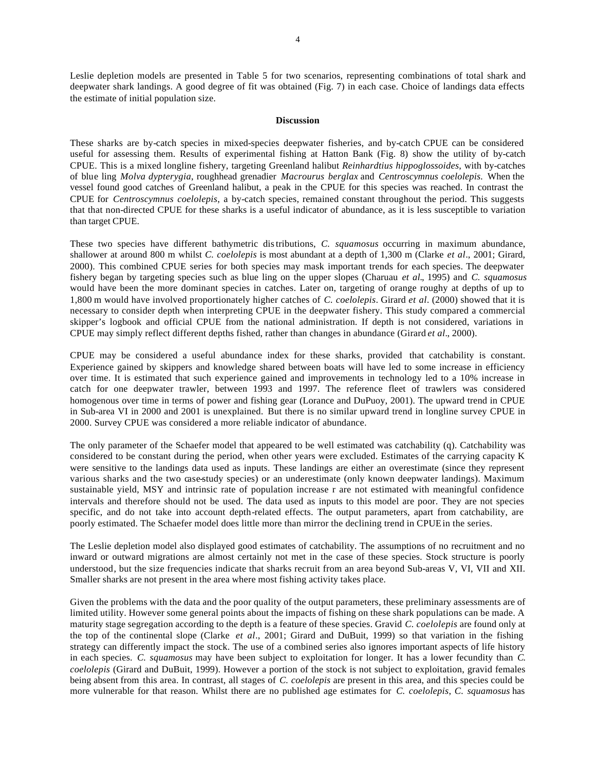Leslie depletion models are presented in Table 5 for two scenarios, representing combinations of total shark and deepwater shark landings. A good degree of fit was obtained (Fig. 7) in each case. Choice of landings data effects the estimate of initial population size.

### **Discussion**

These sharks are by-catch species in mixed-species deepwater fisheries, and by-catch CPUE can be considered useful for assessing them. Results of experimental fishing at Hatton Bank (Fig. 8) show the utility of by-catch CPUE. This is a mixed longline fishery, targeting Greenland halibut *Reinhardtius hippoglossoides*, with by-catches of blue ling *Molva dypterygia*, roughhead grenadier *Macrourus berglax* and *Centroscymnus coelolepis.* When the vessel found good catches of Greenland halibut, a peak in the CPUE for this species was reached. In contrast the CPUE for *Centroscymnus coelolepis*, a by-catch species, remained constant throughout the period. This suggests that that non-directed CPUE for these sharks is a useful indicator of abundance, as it is less susceptible to variation than target CPUE.

These two species have different bathymetric distributions, *C. squamosus* occurring in maximum abundance, shallower at around 800 m whilst *C. coelolepis* is most abundant at a depth of 1,300 m (Clarke *et al*., 2001; Girard, 2000). This combined CPUE series for both species may mask important trends for each species. The deepwater fishery began by targeting species such as blue ling on the upper slopes (Charuau *et al.,* 1995) and *C. squamosus* would have been the more dominant species in catches. Later on, targeting of orange roughy at depths of up to 1,800 m would have involved proportionately higher catches of *C. coelolepis*. Girard *et al*. (2000) showed that it is necessary to consider depth when interpreting CPUE in the deepwater fishery. This study compared a commercial skipper's logbook and official CPUE from the national administration. If depth is not considered, variations in CPUE may simply reflect different depths fished, rather than changes in abundance (Girard *et al.*, 2000).

CPUE may be considered a useful abundance index for these sharks, provided that catchability is constant. Experience gained by skippers and knowledge shared between boats will have led to some increase in efficiency over time. It is estimated that such experience gained and improvements in technology led to a 10% increase in catch for one deepwater trawler, between 1993 and 1997. The reference fleet of trawlers was considered homogenous over time in terms of power and fishing gear (Lorance and DuPuoy, 2001). The upward trend in CPUE in Sub-area VI in 2000 and 2001 is unexplained. But there is no similar upward trend in longline survey CPUE in 2000. Survey CPUE was considered a more reliable indicator of abundance.

The only parameter of the Schaefer model that appeared to be well estimated was catchability (q). Catchability was considered to be constant during the period, when other years were excluded. Estimates of the carrying capacity K were sensitive to the landings data used as inputs. These landings are either an overestimate (since they represent various sharks and the two case-study species) or an underestimate (only known deepwater landings). Maximum sustainable yield, MSY and intrinsic rate of population increase r are not estimated with meaningful confidence intervals and therefore should not be used. The data used as inputs to this model are poor. They are not species specific, and do not take into account depth-related effects. The output parameters, apart from catchability, are poorly estimated. The Schaefer model does little more than mirror the declining trend in CPUE in the series.

The Leslie depletion model also displayed good estimates of catchability. The assumptions of no recruitment and no inward or outward migrations are almost certainly not met in the case of these species. Stock structure is poorly understood, but the size frequencies indicate that sharks recruit from an area beyond Sub-areas V, VI, VII and XII. Smaller sharks are not present in the area where most fishing activity takes place.

Given the problems with the data and the poor quality of the output parameters, these preliminary assessments are of limited utility. However some general points about the impacts of fishing on these shark populations can be made. A maturity stage segregation according to the depth is a feature of these species. Gravid *C. coelolepis* are found only at the top of the continental slope (Clarke *et al*., 2001; Girard and DuBuit, 1999) so that variation in the fishing strategy can differently impact the stock. The use of a combined series also ignores important aspects of life history in each species. *C. squamosus* may have been subject to exploitation for longer. It has a lower fecundity than *C. coelolepis* (Girard and DuBuit, 1999). However a portion of the stock is not subject to exploitation, gravid females being absent from this area. In contrast, all stages of *C. coelolepis* are present in this area, and this species could be more vulnerable for that reason. Whilst there are no published age estimates for *C. coelolepis*, *C. squamosus* has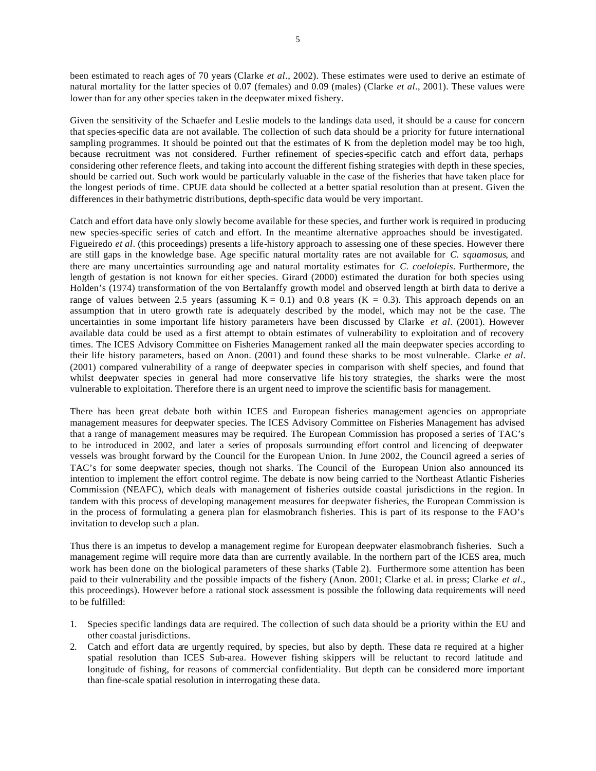been estimated to reach ages of 70 years (Clarke *et al*., 2002). These estimates were used to derive an estimate of natural mortality for the latter species of 0.07 (females) and 0.09 (males) (Clarke *et al*., 2001). These values were lower than for any other species taken in the deepwater mixed fishery.

Given the sensitivity of the Schaefer and Leslie models to the landings data used, it should be a cause for concern that species-specific data are not available. The collection of such data should be a priority for future international sampling programmes. It should be pointed out that the estimates of K from the depletion model may be too high, because recruitment was not considered. Further refinement of species-specific catch and effort data, perhaps considering other reference fleets, and taking into account the different fishing strategies with depth in these species, should be carried out. Such work would be particularly valuable in the case of the fisheries that have taken place for the longest periods of time. CPUE data should be collected at a better spatial resolution than at present. Given the differences in their bathymetric distributions, depth-specific data would be very important.

Catch and effort data have only slowly become available for these species, and further work is required in producing new species-specific series of catch and effort. In the meantime alternative approaches should be investigated. Figueiredo *et al.* (this proceedings) presents a life-history approach to assessing one of these species. However there are still gaps in the knowledge base. Age specific natural mortality rates are not available for *C. squamosus*, and there are many uncertainties surrounding age and natural mortality estimates for *C. coelolepis*. Furthermore, the length of gestation is not known for either species. Girard (2000) estimated the duration for both species using Holden's (1974) transformation of the von Bertalanffy growth model and observed length at birth data to derive a range of values between 2.5 years (assuming  $K = 0.1$ ) and 0.8 years ( $K = 0.3$ ). This approach depends on an assumption that in utero growth rate is adequately described by the model, which may not be the case. The uncertainties in some important life history parameters have been discussed by Clarke *et al*. (2001). However available data could be used as a first attempt to obtain estimates of vulnerability to exploitation and of recovery times. The ICES Advisory Committee on Fisheries Management ranked all the main deepwater species according to their life history parameters, based on Anon. (2001) and found these sharks to be most vulnerable. Clarke *et al*. (2001) compared vulnerability of a range of deepwater species in comparison with shelf species, and found that whilst deepwater species in general had more conservative life history strategies, the sharks were the most vulnerable to exploitation. Therefore there is an urgent need to improve the scientific basis for management.

There has been great debate both within ICES and European fisheries management agencies on appropriate management measures for deepwater species. The ICES Advisory Committee on Fisheries Management has advised that a range of management measures may be required. The European Commission has proposed a series of TAC's to be introduced in 2002, and later a series of proposals surrounding effort control and licencing of deepwater vessels was brought forward by the Council for the European Union. In June 2002, the Council agreed a series of TAC's for some deepwater species, though not sharks. The Council of the European Union also announced its intention to implement the effort control regime. The debate is now being carried to the Northeast Atlantic Fisheries Commission (NEAFC), which deals with management of fisheries outside coastal jurisdictions in the region. In tandem with this process of developing management measures for deepwater fisheries, the European Commission is in the process of formulating a genera plan for elasmobranch fisheries. This is part of its response to the FAO's invitation to develop such a plan.

Thus there is an impetus to develop a management regime for European deepwater elasmobranch fisheries. Such a management regime will require more data than are currently available. In the northern part of the ICES area, much work has been done on the biological parameters of these sharks (Table 2). Furthermore some attention has been paid to their vulnerability and the possible impacts of the fishery (Anon. 2001; Clarke et al. in press; Clarke *et al*., this proceedings). However before a rational stock assessment is possible the following data requirements will need to be fulfilled:

- 1. Species specific landings data are required. The collection of such data should be a priority within the EU and other coastal jurisdictions.
- 2. Catch and effort data are urgently required, by species, but also by depth. These data re required at a higher spatial resolution than ICES Sub-area. However fishing skippers will be reluctant to record latitude and longitude of fishing, for reasons of commercial confidentiality. But depth can be considered more important than fine-scale spatial resolution in interrogating these data.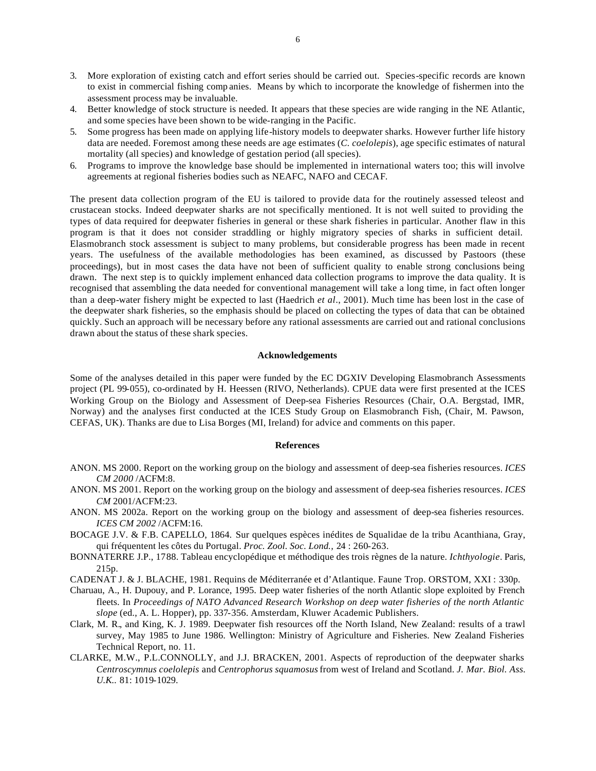- 3. More exploration of existing catch and effort series should be carried out. Species-specific records are known to exist in commercial fishing comp anies. Means by which to incorporate the knowledge of fishermen into the assessment process may be invaluable.
- 4. Better knowledge of stock structure is needed. It appears that these species are wide ranging in the NE Atlantic, and some species have been shown to be wide-ranging in the Pacific.
- 5. Some progress has been made on applying life-history models to deepwater sharks. However further life history data are needed. Foremost among these needs are age estimates (*C. coelolepis*), age specific estimates of natural mortality (all species) and knowledge of gestation period (all species).
- 6. Programs to improve the knowledge base should be implemented in international waters too; this will involve agreements at regional fisheries bodies such as NEAFC, NAFO and CECAF.

The present data collection program of the EU is tailored to provide data for the routinely assessed teleost and crustacean stocks. Indeed deepwater sharks are not specifically mentioned. It is not well suited to providing the types of data required for deepwater fisheries in general or these shark fisheries in particular. Another flaw in this program is that it does not consider straddling or highly migratory species of sharks in sufficient detail. Elasmobranch stock assessment is subject to many problems, but considerable progress has been made in recent years. The usefulness of the available methodologies has been examined, as discussed by Pastoors (these proceedings), but in most cases the data have not been of sufficient quality to enable strong conclusions being drawn. The next step is to quickly implement enhanced data collection programs to improve the data quality. It is recognised that assembling the data needed for conventional management will take a long time, in fact often longer than a deep-water fishery might be expected to last (Haedrich *et al*., 2001). Much time has been lost in the case of the deepwater shark fisheries, so the emphasis should be placed on collecting the types of data that can be obtained quickly. Such an approach will be necessary before any rational assessments are carried out and rational conclusions drawn about the status of these shark species.

### **Acknowledgements**

Some of the analyses detailed in this paper were funded by the EC DGXIV Developing Elasmobranch Assessments project (PL 99-055), co-ordinated by H. Heessen (RIVO, Netherlands). CPUE data were first presented at the ICES Working Group on the Biology and Assessment of Deep-sea Fisheries Resources (Chair, O.A. Bergstad, IMR, Norway) and the analyses first conducted at the ICES Study Group on Elasmobranch Fish, (Chair, M. Pawson, CEFAS, UK). Thanks are due to Lisa Borges (MI, Ireland) for advice and comments on this paper.

#### **References**

- ANON. MS 2000. Report on the working group on the biology and assessment of deep-sea fisheries resources. *ICES CM 2000* /ACFM:8.
- ANON. MS 2001. Report on the working group on the biology and assessment of deep-sea fisheries resources. *ICES CM* 2001/ACFM:23.
- ANON. MS 2002a. Report on the working group on the biology and assessment of deep-sea fisheries resources. *ICES CM 2002* /ACFM:16.
- BOCAGE J.V. & F.B. CAPELLO, 1864. Sur quelques espèces inédites de Squalidae de la tribu Acanthiana, Gray, qui fréquentent les côtes du Portugal. *Proc. Zool. Soc. Lond.,* 24 : 260-263.
- BONNATERRE J.P., 1788. Tableau encyclopédique et méthodique des trois règnes de la nature. *Ichthyologie*. Paris, 215p.
- CADENAT J. & J. BLACHE, 1981. Requins de Méditerranée et d'Atlantique. Faune Trop. ORSTOM, XXI : 330p.
- Charuau, A., H. Dupouy, and P. Lorance, 1995. Deep water fisheries of the north Atlantic slope exploited by French fleets. In *Proceedings of NATO Advanced Research Workshop on deep water fisheries of the north Atlantic slope* (ed., A. L. Hopper), pp. 337-356. Amsterdam, Kluwer Academic Publishers.
- Clark, M. R., and King, K. J. 1989. Deepwater fish resources off the North Island, New Zealand: results of a trawl survey, May 1985 to June 1986. Wellington: Ministry of Agriculture and Fisheries. New Zealand Fisheries Technical Report, no. 11.
- CLARKE, M.W., P.L.CONNOLLY, and J.J. BRACKEN, 2001. Aspects of reproduction of the deepwater sharks *Centroscymnus coelolepis* and *Centrophorus squamosus* from west of Ireland and Scotland. *J. Mar. Biol. Ass. U.K..* 81: 1019-1029.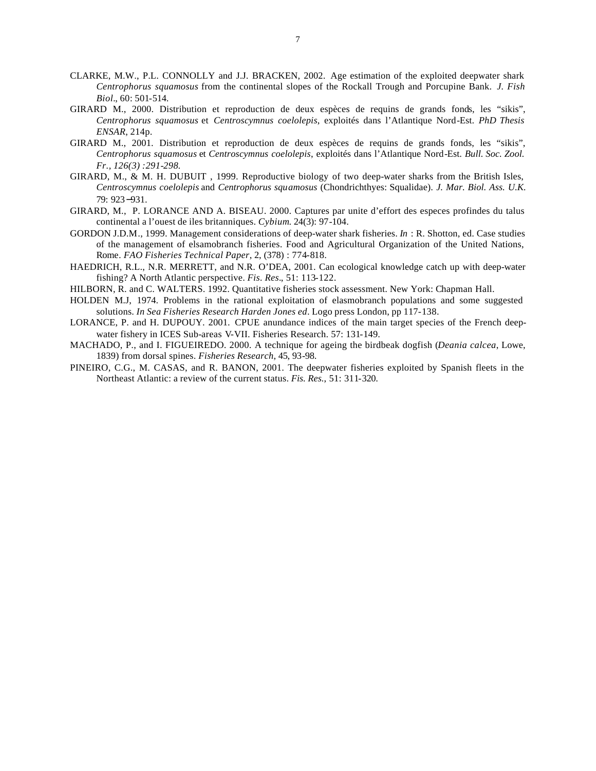- CLARKE, M.W., P.L. CONNOLLY and J.J. BRACKEN, 2002. Age estimation of the exploited deepwater shark *Centrophorus squamosus* from the continental slopes of the Rockall Trough and Porcupine Bank. *J. Fish Biol.*, 60: 501-514.
- GIRARD M., 2000. Distribution et reproduction de deux espèces de requins de grands fonds, les "sikis", *Centrophorus squamosus* et *Centroscymnus coelolepis*, exploités dans l'Atlantique Nord-Est. *PhD Thesis ENSAR*, 214p.
- GIRARD M., 2001. Distribution et reproduction de deux espèces de requins de grands fonds, les "sikis", *Centrophorus squamosus* et *Centroscymnus coelolepis*, exploités dans l'Atlantique Nord-Est. *Bull. Soc. Zool. Fr., 126(3) :291-298.*
- GIRARD, M., & M. H. DUBUIT , 1999. Reproductive biology of two deep-water sharks from the British Isles, *Centroscymnus coelolepis* and *Centrophorus squamosus* (Chondrichthyes: Squalidae). *J. Mar. Biol. Ass. U.K.* 79: 923−931.
- GIRARD, M., P. LORANCE AND A. BISEAU. 2000. Captures par unite d'effort des especes profindes du talus continental a l'ouest de iles britanniques. *Cybium*. 24(3): 97-104.
- GORDON J.D.M., 1999. Management considerations of deep-water shark fisheries. *In* : R. Shotton, ed. Case studies of the management of elsamobranch fisheries. Food and Agricultural Organization of the United Nations, Rome*. FAO Fisheries Technical Paper*, 2, (378) : 774-818.
- HAEDRICH, R.L., N.R. MERRETT, and N.R. O'DEA, 2001. Can ecological knowledge catch up with deep-water fishing? A North Atlantic perspective. *Fis. Res.*, 51: 113-122.
- HILBORN, R. and C. WALTERS. 1992. Quantitative fisheries stock assessment. New York: Chapman Hall.
- HOLDEN M.J, 1974. Problems in the rational exploitation of elasmobranch populations and some suggested solutions. *In Sea Fisheries Research Harden Jones ed*. Logo press London, pp 117-138.
- LORANCE, P. and H. DUPOUY. 2001. CPUE anundance indices of the main target species of the French deepwater fishery in ICES Sub-areas V-VII. Fisheries Research. 57: 131-149.
- MACHADO, P., and I. FIGUEIREDO. 2000. A technique for ageing the birdbeak dogfish (*Deania calcea*, Lowe, 1839) from dorsal spines. *Fisheries Research*, 45, 93-98.
- PINEIRO, C.G., M. CASAS, and R. BANON, 2001. The deepwater fisheries exploited by Spanish fleets in the Northeast Atlantic: a review of the current status. *Fis. Res.*, 51: 311-320.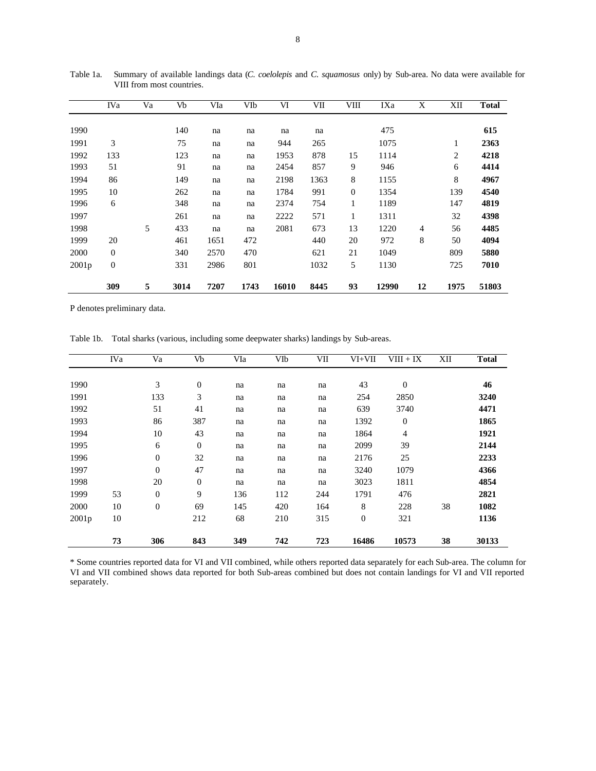|       | <b>IVa</b>   | Va | Vb   | VIa  | VIb  | VI    | VІІ  | VIII         | IXa   | X  | XII  | <b>Total</b> |
|-------|--------------|----|------|------|------|-------|------|--------------|-------|----|------|--------------|
| 1990  |              |    | 140  | na   | na   | na    | na   |              | 475   |    |      | 615          |
| 1991  | 3            |    | 75   | na   | na   | 944   | 265  |              | 1075  |    | 1    | 2363         |
| 1992  | 133          |    | 123  | na   | na   | 1953  | 878  | 15           | 1114  |    | 2    | 4218         |
| 1993  | 51           |    | 91   | na   | na   | 2454  | 857  | 9            | 946   |    | 6    | 4414         |
| 1994  | 86           |    | 149  | na   | na   | 2198  | 1363 | 8            | 1155  |    | 8    | 4967         |
| 1995  | 10           |    | 262  | na   | na   | 1784  | 991  | $\mathbf{0}$ | 1354  |    | 139  | 4540         |
| 1996  | 6            |    | 348  | na   | na   | 2374  | 754  | 1            | 1189  |    | 147  | 4819         |
| 1997  |              |    | 261  | na   | na   | 2222  | 571  | 1            | 1311  |    | 32   | 4398         |
| 1998  |              | 5  | 433  | na   | na   | 2081  | 673  | 13           | 1220  | 4  | 56   | 4485         |
| 1999  | 20           |    | 461  | 1651 | 472  |       | 440  | 20           | 972   | 8  | 50   | 4094         |
| 2000  | $\mathbf{0}$ |    | 340  | 2570 | 470  |       | 621  | 21           | 1049  |    | 809  | 5880         |
| 2001p | $\mathbf{0}$ |    | 331  | 2986 | 801  |       | 1032 | 5            | 1130  |    | 725  | 7010         |
|       | 309          | 5  | 3014 | 7207 | 1743 | 16010 | 8445 | 93           | 12990 | 12 | 1975 | 51803        |

Table 1a. Summary of available landings data (*C. coelolepis* and *C. squamosus* only) by Sub-area. No data were available for VIII from most countries.

P denotes preliminary data.

Table 1b. Total sharks (various, including some deepwater sharks) landings by Sub-areas.

|       | <b>IVa</b> | Va             | Vb               | VIa | VIb | VII | VI+VII       | $VIII + IX$  | XII | <b>Total</b> |
|-------|------------|----------------|------------------|-----|-----|-----|--------------|--------------|-----|--------------|
|       |            |                |                  |     |     |     |              |              |     |              |
| 1990  |            | 3              | $\boldsymbol{0}$ | na  | na  | na  | 43           | $\mathbf{0}$ |     | 46           |
| 1991  |            | 133            | 3                | na  | na  | na  | 254          | 2850         |     | 3240         |
| 1992  |            | 51             | 41               | na  | na  | na  | 639          | 3740         |     | 4471         |
| 1993  |            | 86             | 387              | na  | na  | na  | 1392         | $\mathbf{0}$ |     | 1865         |
| 1994  |            | 10             | 43               | na  | na  | na  | 1864         | 4            |     | 1921         |
| 1995  |            | 6              | $\boldsymbol{0}$ | na  | na  | na  | 2099         | 39           |     | 2144         |
| 1996  |            | $\overline{0}$ | 32               | na  | na  | na  | 2176         | 25           |     | 2233         |
| 1997  |            | $\overline{0}$ | 47               | na  | na  | na  | 3240         | 1079         |     | 4366         |
| 1998  |            | 20             | $\mathbf{0}$     | na  | na  | na  | 3023         | 1811         |     | 4854         |
| 1999  | 53         | $\overline{0}$ | 9                | 136 | 112 | 244 | 1791         | 476          |     | 2821         |
| 2000  | 10         | $\overline{0}$ | 69               | 145 | 420 | 164 | 8            | 228          | 38  | 1082         |
| 2001p | 10         |                | 212              | 68  | 210 | 315 | $\mathbf{0}$ | 321          |     | 1136         |
|       | 73         | 306            | 843              | 349 | 742 | 723 | 16486        | 10573        | 38  | 30133        |

\* Some countries reported data for VI and VII combined, while others reported data separately for each Sub-area. The column for VI and VII combined shows data reported for both Sub-areas combined but does not contain landings for VI and VII reported separately.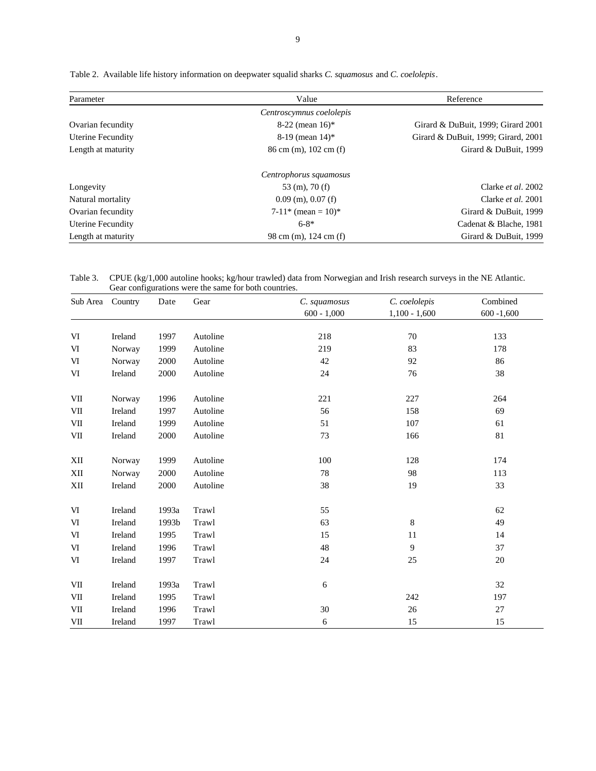| Parameter                | Value                                        | Reference                           |  |
|--------------------------|----------------------------------------------|-------------------------------------|--|
|                          | Centroscymnus coelolepis                     |                                     |  |
| Ovarian fecundity        | $8-22$ (mean 16)*                            | Girard & DuBuit, 1999; Girard 2001  |  |
| <b>Uterine Fecundity</b> | $8-19$ (mean $14$ )*                         | Girard & DuBuit, 1999; Girard, 2001 |  |
| Length at maturity       | $86 \text{ cm}$ (m), $102 \text{ cm}$ (f)    | Girard & DuBuit, 1999               |  |
|                          | Centrophorus squamosus                       |                                     |  |
| Longevity                | $53 \;$ (m), 70 (f)                          | Clarke et al. 2002                  |  |
| Natural mortality        | $0.09$ (m), $0.07$ (f)                       | Clarke <i>et al.</i> 2001           |  |
| Ovarian fecundity        | $7-11$ <sup>*</sup> (mean = 10) <sup>*</sup> | Girard & DuBuit, 1999               |  |
| <b>Uterine Fecundity</b> | $6 - 8*$                                     | Cadenat & Blache, 1981              |  |
| Length at maturity       | 98 cm (m), 124 cm (f)                        | Girard & DuBuit, 1999               |  |

Table 2. Available life history information on deepwater squalid sharks *C. squamosus* and *C. coelolepis*.

Table 3. CPUE (kg/1,000 autoline hooks; kg/hour trawled) data from Norwegian and Irish research surveys in the NE Atlantic. Gear configurations were the same for both countries.

| Sub Area   | Country | Date  | Gear     | C. squamosus<br>$600 - 1,000$ | C. coelolepis<br>$1,100 - 1,600$ | Combined<br>$600 - 1,600$ |
|------------|---------|-------|----------|-------------------------------|----------------------------------|---------------------------|
| VI         | Ireland | 1997  | Autoline | 218                           | 70                               | 133                       |
| VI         | Norway  | 1999  | Autoline | 219                           | 83                               | 178                       |
| VI         | Norway  | 2000  | Autoline | 42                            | 92                               | 86                        |
| VI         | Ireland | 2000  | Autoline | 24                            | 76                               | 38                        |
| VII        | Norway  | 1996  | Autoline | 221                           | 227                              | 264                       |
| VII        | Ireland | 1997  | Autoline | 56                            | 158                              | 69                        |
| VII        | Ireland | 1999  | Autoline | 51                            | 107                              | 61                        |
| VII        | Ireland | 2000  | Autoline | 73                            | 166                              | 81                        |
| XII        | Norway  | 1999  | Autoline | 100                           | 128                              | 174                       |
| XII        | Norway  | 2000  | Autoline | 78                            | 98                               | 113                       |
| XII        | Ireland | 2000  | Autoline | 38                            | 19                               | 33                        |
| VI         | Ireland | 1993a | Trawl    | 55                            |                                  | 62                        |
| VI         | Ireland | 1993b | Trawl    | 63                            | 8                                | 49                        |
| VI         | Ireland | 1995  | Trawl    | 15                            | 11                               | 14                        |
| VI         | Ireland | 1996  | Trawl    | 48                            | 9                                | 37                        |
| VI         | Ireland | 1997  | Trawl    | 24                            | 25                               | $20\,$                    |
| VII        | Ireland | 1993a | Trawl    | 6                             |                                  | 32                        |
| VII        | Ireland | 1995  | Trawl    |                               | 242                              | 197                       |
| $\rm{VII}$ | Ireland | 1996  | Trawl    | $30\,$                        | 26                               | 27                        |
| $\rm{VII}$ | Ireland | 1997  | Trawl    | $\epsilon$                    | 15                               | 15                        |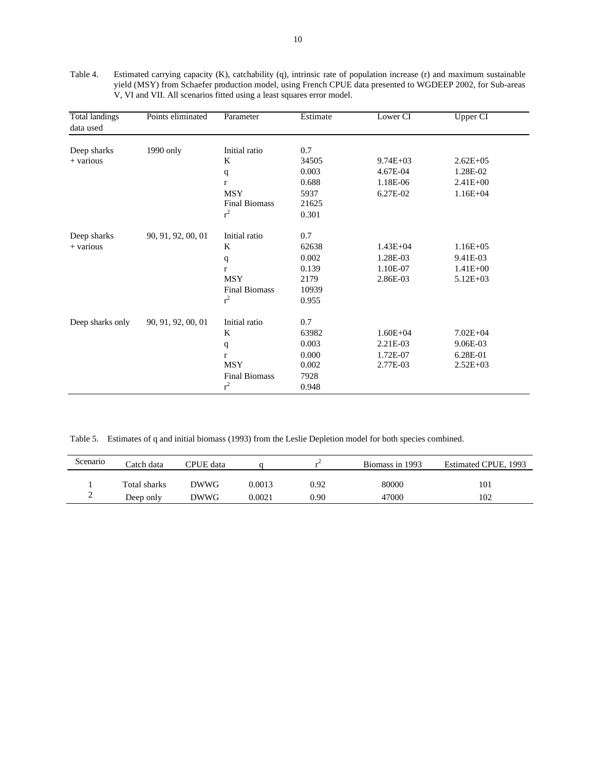| <b>Total landings</b><br>data used | Points eliminated  | Parameter            | Estimate | Lower <sub>CI</sub> | Upper CI     |  |
|------------------------------------|--------------------|----------------------|----------|---------------------|--------------|--|
| Deep sharks                        | 1990 only          | Initial ratio        | 0.7      |                     |              |  |
| + various                          |                    | K                    | 34505    | $9.74E + 03$        | $2.62E + 05$ |  |
|                                    |                    | q                    | 0.003    | 4.67E-04            | 1.28E-02     |  |
|                                    |                    | r                    | 0.688    | 1.18E-06            | $2.41E + 00$ |  |
|                                    |                    | <b>MSY</b>           | 5937     | 6.27E-02            | $1.16E + 04$ |  |
|                                    |                    | <b>Final Biomass</b> | 21625    |                     |              |  |
|                                    |                    | $r^2$                | 0.301    |                     |              |  |
| Deep sharks                        | 90, 91, 92, 00, 01 | Initial ratio        | 0.7      |                     |              |  |
| $+$ various                        |                    | K                    | 62638    | $1.43E + 04$        | $1.16E + 05$ |  |
|                                    |                    | q                    | 0.002    | 1.28E-03            | 9.41E-03     |  |
|                                    |                    | $\mathbf{r}$         | 0.139    | 1.10E-07            | $1.41E + 00$ |  |
|                                    |                    | <b>MSY</b>           | 2179     | 2.86E-03            | $5.12E + 03$ |  |
|                                    |                    | <b>Final Biomass</b> | 10939    |                     |              |  |
|                                    |                    | $r^2$                | 0.955    |                     |              |  |
| Deep sharks only                   | 90, 91, 92, 00, 01 | Initial ratio        | 0.7      |                     |              |  |
|                                    |                    | K                    | 63982    | $1.60E + 04$        | $7.02E + 04$ |  |
|                                    |                    | q                    | 0.003    | 2.21E-03            | 9.06E-03     |  |
|                                    |                    | r                    | 0.000    | 1.72E-07            | 6.28E-01     |  |
|                                    |                    | <b>MSY</b>           | 0.002    | 2.77E-03            | $2.52E + 03$ |  |
|                                    |                    | <b>Final Biomass</b> | 7928     |                     |              |  |
|                                    |                    | $r^2$                | 0.948    |                     |              |  |

Table 4. Estimated carrying capacity (K), catchability (q), intrinsic rate of population increase (r) and maximum sustainable yield (MSY) from Schaefer production model, using French CPUE data presented to WGDEEP 2002, for Sub-areas V, VI and VII. All scenarios fitted using a least squares error model.

Table 5. Estimates of q and initial biomass (1993) from the Leslie Depletion model for both species combined.

| Scenario | Catch data   | CPUE data   |        |      | Biomass in 1993 | Estimated CPUE, 1993 |
|----------|--------------|-------------|--------|------|-----------------|----------------------|
|          | Total sharks | <b>DWWG</b> | 0.0013 | 0.92 | 80000           | 101                  |
|          | Deep only    | DWWG        | 0.0021 | 0.90 | 47000           | 102                  |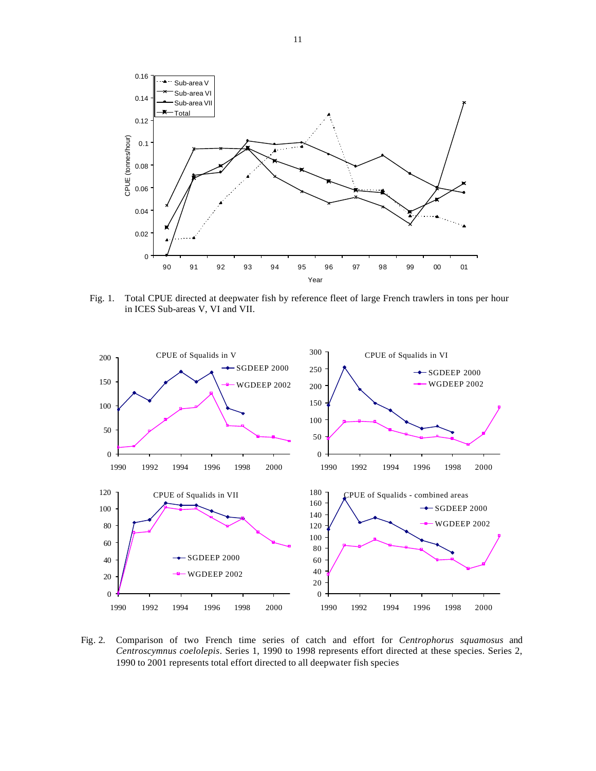

Fig. 1. Total CPUE directed at deepwater fish by reference fleet of large French trawlers in tons per hour in ICES Sub-areas V, VI and VII.



Fig. 2. Comparison of two French time series of catch and effort for *Centrophorus squamosus* and *Centroscymnus coelolepis*. Series 1, 1990 to 1998 represents effort directed at these species. Series 2, 1990 to 2001 represents total effort directed to all deepwater fish species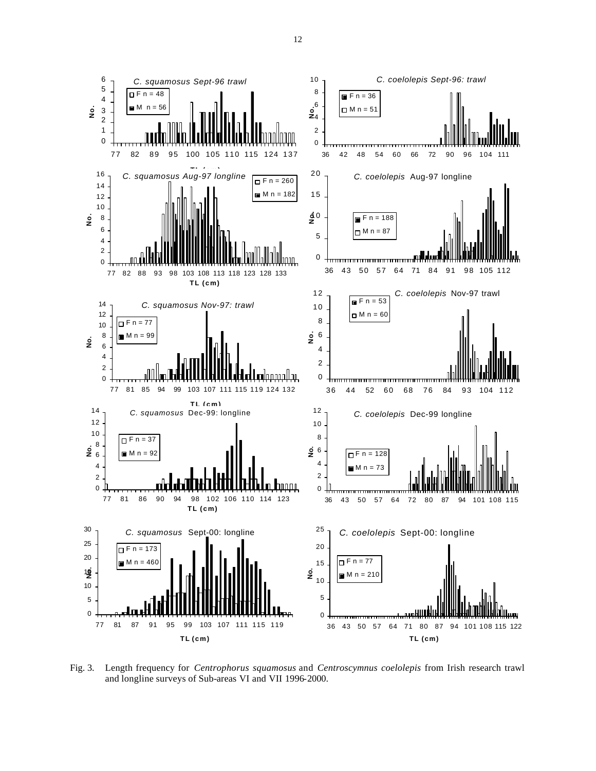

Fig. 3. Length frequency for *Centrophorus squamosus* and *Centroscymnus coelolepis* from Irish research trawl and longline surveys of Sub-areas VI and VII 1996-2000.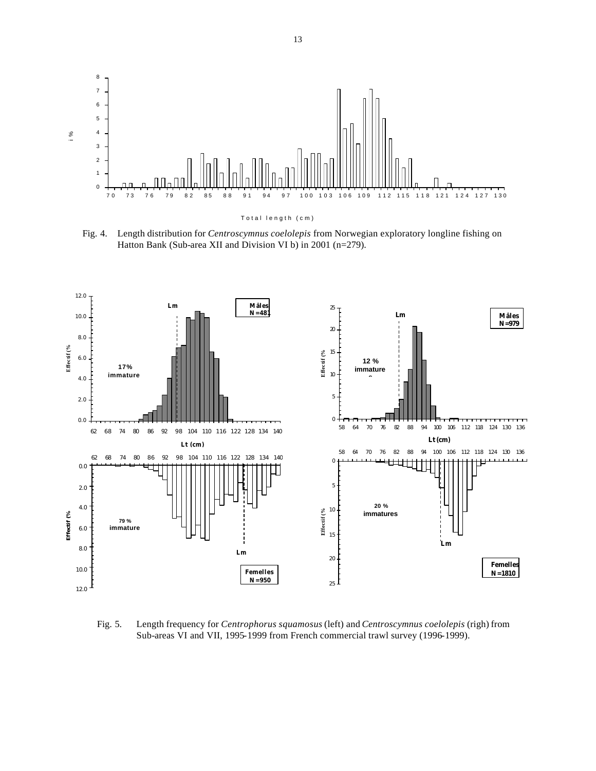

Fig. 4. Length distribution for *Centroscymnus coelolepis* from Norwegian exploratory longline fishing on Hatton Bank (Sub-area XII and Division VI b) in 2001 (n=279).



Fig. 5. Length frequency for *Centrophorus squamosus* (left) and *Centroscymnus coelolepis* (righ) from Sub-areas VI and VII, 1995-1999 from French commercial trawl survey (1996-1999).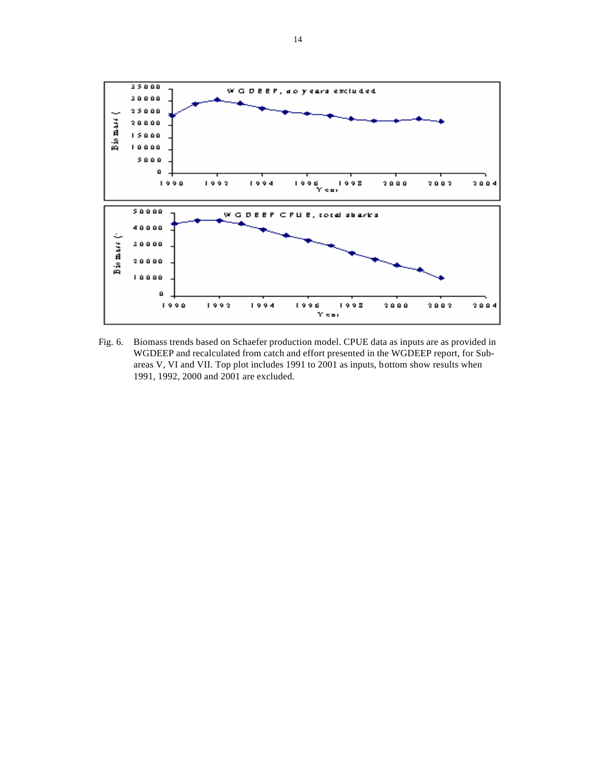

Fig. 6. Biomass trends based on Schaefer production model. CPUE data as inputs are as provided in WGDEEP and recalculated from catch and effort presented in the WGDEEP report, for Subareas V, VI and VII. Top plot includes 1991 to 2001 as inputs, bottom show results when 1991, 1992, 2000 and 2001 are excluded.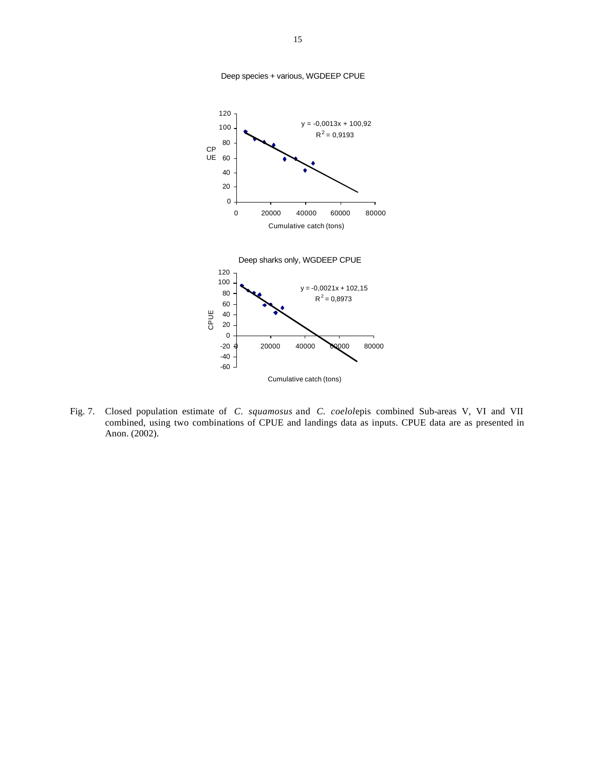

Deep species + various, WGDEEP CPUE

Fig. 7. Closed population estimate of *C. squamosus* and *C. coelol*epis combined Sub-areas V, VI and VII combined, using two combinations of CPUE and landings data as inputs. CPUE data are as presented in Anon. (2002).